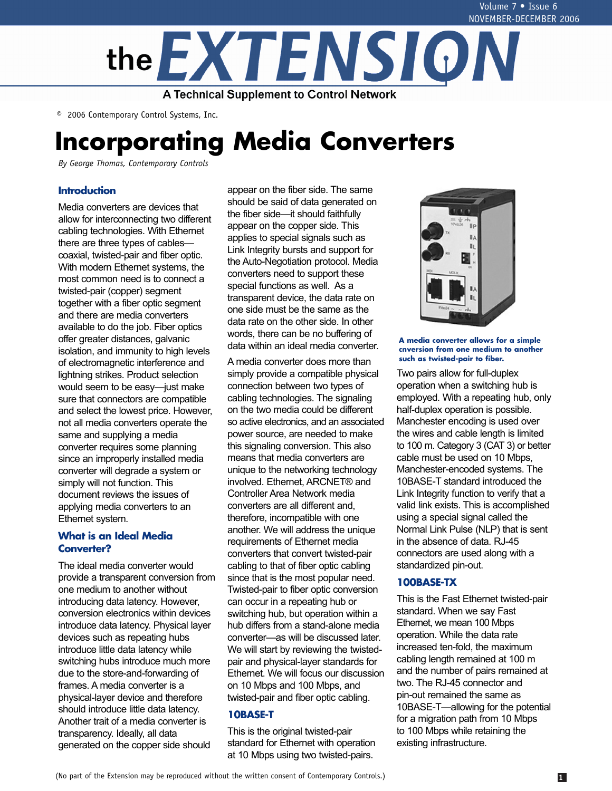

© 2006 Contemporary Control Systems, Inc.

# **Incorporating Media Converters**

*By George Thomas, Contemporary Controls*

# **Introduction**

Media converters are devices that allow for interconnecting two different cabling technologies. With Ethernet there are three types of cables coaxial, twisted-pair and fiber optic. With modern Ethernet systems, the most common need is to connect a twisted-pair (copper) segment together with a fiber optic segment and there are media converters available to do the job. Fiber optics offer greater distances, galvanic isolation, and immunity to high levels of electromagnetic interference and lightning strikes. Product selection would seem to be easy—just make sure that connectors are compatible and select the lowest price. However, not all media converters operate the same and supplying a media converter requires some planning since an improperly installed media converter will degrade a system or simply will not function. This document reviews the issues of applying media converters to an Ethernet system.

# **What is an Ideal Media Converter?**

The ideal media converter would provide a transparent conversion from one medium to another without introducing data latency. However, conversion electronics within devices introduce data latency. Physical layer devices such as repeating hubs introduce little data latency while switching hubs introduce much more due to the store-and-forwarding of frames. A media converter is a physical-layer device and therefore should introduce little data latency. Another trait of a media converter is transparency. Ideally, all data generated on the copper side should

appear on the fiber side. The same should be said of data generated on the fiber side—it should faithfully appear on the copper side. This applies to special signals such as Link Integrity bursts and support for the Auto-Negotiation protocol. Media converters need to support these special functions as well. As a transparent device, the data rate on one side must be the same as the data rate on the other side. In other words, there can be no buffering of data within an ideal media converter.

A media converter does more than simply provide a compatible physical connection between two types of cabling technologies. The signaling on the two media could be different so active electronics, and an associated power source, are needed to make this signaling conversion. This also means that media converters are unique to the networking technology involved. Ethernet, ARCNET® and Controller Area Network media converters are all different and, therefore, incompatible with one another. We will address the unique requirements of Ethernet media converters that convert twisted-pair cabling to that of fiber optic cabling since that is the most popular need. Twisted-pair to fiber optic conversion can occur in a repeating hub or switching hub, but operation within a hub differs from a stand-alone media converter—as will be discussed later. We will start by reviewing the twistedpair and physical-layer standards for Ethernet. We will focus our discussion on 10 Mbps and 100 Mbps, and twisted-pair and fiber optic cabling.

# **10BASE-T**

This is the original twisted-pair standard for Ethernet with operation at 10 Mbps using two twisted-pairs.



**A media converter allows for a simple cnversion from one medium to another such as twisted-pair to fiber.**

Two pairs allow for full-duplex operation when a switching hub is employed. With a repeating hub, only half-duplex operation is possible. Manchester encoding is used over the wires and cable length is limited to 100 m. Category 3 (CAT 3) or better cable must be used on 10 Mbps, Manchester-encoded systems. The 10BASE-T standard introduced the Link Integrity function to verify that a valid link exists. This is accomplished using a special signal called the Normal Link Pulse (NLP) that is sent in the absence of data. RJ-45 connectors are used along with a standardized pin-out.

# **100BASE-TX**

This is the Fast Ethernet twisted-pair standard. When we say Fast Ethernet, we mean 100 Mbps operation. While the data rate increased ten-fold, the maximum cabling length remained at 100 m and the number of pairs remained at two. The RJ-45 connector and pin-out remained the same as 10BASE-T—allowing for the potential for a migration path from 10 Mbps to 100 Mbps while retaining the existing infrastructure.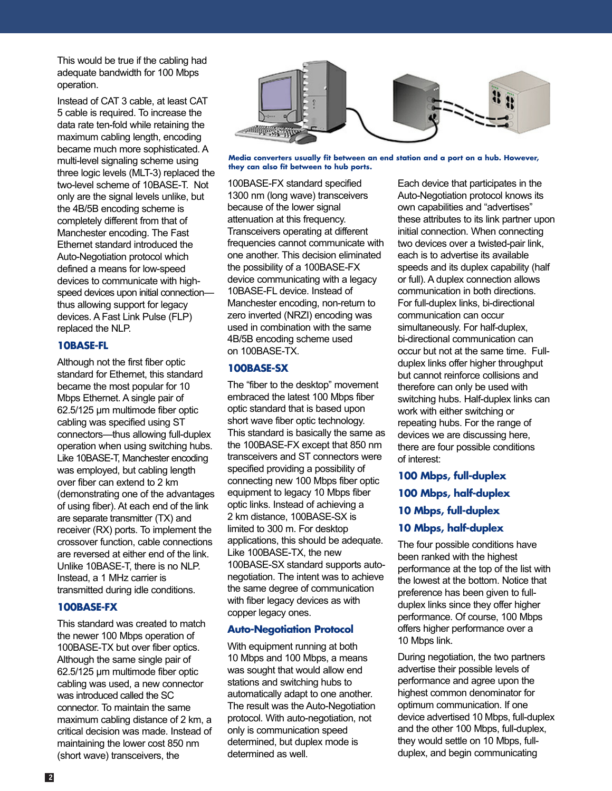This would be true if the cabling had adequate bandwidth for 100 Mbps operation.

Instead of CAT 3 cable, at least CAT 5 cable is required. To increase the data rate ten-fold while retaining the maximum cabling length, encoding became much more sophisticated. A multi-level signaling scheme using three logic levels (MLT-3) replaced the two-level scheme of 10BASE-T. Not only are the signal levels unlike, but the 4B/5B encoding scheme is completely different from that of Manchester encoding. The Fast Ethernet standard introduced the Auto-Negotiation protocol which defined a means for low-speed devices to communicate with highspeed devices upon initial connection thus allowing support for legacy devices. A Fast Link Pulse (FLP) replaced the NLP.

# **10BASE-FL**

Although not the first fiber optic standard for Ethernet, this standard became the most popular for 10 Mbps Ethernet. A single pair of 62.5/125 µm multimode fiber optic cabling was specified using ST connectors—thus allowing full-duplex operation when using switching hubs. Like 10BASE-T, Manchester encoding was employed, but cabling length over fiber can extend to 2 km (demonstrating one of the advantages of using fiber). At each end of the link are separate transmitter (TX) and receiver (RX) ports. To implement the crossover function, cable connections are reversed at either end of the link. Unlike 10BASE-T, there is no NLP. Instead, a 1 MHz carrier is transmitted during idle conditions.

# **100BASE-FX**

This standard was created to match the newer 100 Mbps operation of 100BASE-TX but over fiber optics. Although the same single pair of 62.5/125 µm multimode fiber optic cabling was used, a new connector was introduced called the SC connector. To maintain the same maximum cabling distance of 2 km, a critical decision was made. Instead of maintaining the lower cost 850 nm (short wave) transceivers, the



**Media converters usually fit between an end station and a port on a hub. However, they can also fit between to hub ports.**

100BASE-FX standard specified 1300 nm (long wave) transceivers because of the lower signal attenuation at this frequency. Transceivers operating at different frequencies cannot communicate with one another. This decision eliminated the possibility of a 100BASE-FX device communicating with a legacy 10BASE-FL device. Instead of Manchester encoding, non-return to zero inverted (NRZI) encoding was used in combination with the same 4B/5B encoding scheme used on 100BASE-TX.

### **100BASE-SX**

The "fiber to the desktop" movement embraced the latest 100 Mbps fiber optic standard that is based upon short wave fiber optic technology. This standard is basically the same as the 100BASE-FX except that 850 nm transceivers and ST connectors were specified providing a possibility of connecting new 100 Mbps fiber optic equipment to legacy 10 Mbps fiber optic links. Instead of achieving a 2 km distance, 100BASE-SX is limited to 300 m. For desktop applications, this should be adequate. Like 100BASE-TX, the new 100BASE-SX standard supports autonegotiation. The intent was to achieve the same degree of communication with fiber legacy devices as with copper legacy ones.

# **Auto-Negotiation Protocol**

With equipment running at both 10 Mbps and 100 Mbps, a means was sought that would allow end stations and switching hubs to automatically adapt to one another. The result was the Auto-Negotiation protocol. With auto-negotiation, not only is communication speed determined, but duplex mode is determined as well.

Each device that participates in the Auto-Negotiation protocol knows its own capabilities and "advertises" these attributes to its link partner upon initial connection. When connecting two devices over a twisted-pair link, each is to advertise its available speeds and its duplex capability (half or full). A duplex connection allows communication in both directions. For full-duplex links, bi-directional communication can occur simultaneously. For half-duplex, bi-directional communication can occur but not at the same time. Fullduplex links offer higher throughput but cannot reinforce collisions and therefore can only be used with switching hubs. Half-duplex links can work with either switching or repeating hubs. For the range of devices we are discussing here, there are four possible conditions of interest:

- **100 Mbps, full-duplex**
- **100 Mbps, half-duplex**
- **10 Mbps, full-duplex**

### **10 Mbps, half-duplex**

The four possible conditions have been ranked with the highest performance at the top of the list with the lowest at the bottom. Notice that preference has been given to fullduplex links since they offer higher performance. Of course, 100 Mbps offers higher performance over a 10 Mbps link.

During negotiation, the two partners advertise their possible levels of performance and agree upon the highest common denominator for optimum communication. If one device advertised 10 Mbps, full-duplex and the other 100 Mbps, full-duplex, they would settle on 10 Mbps, fullduplex, and begin communicating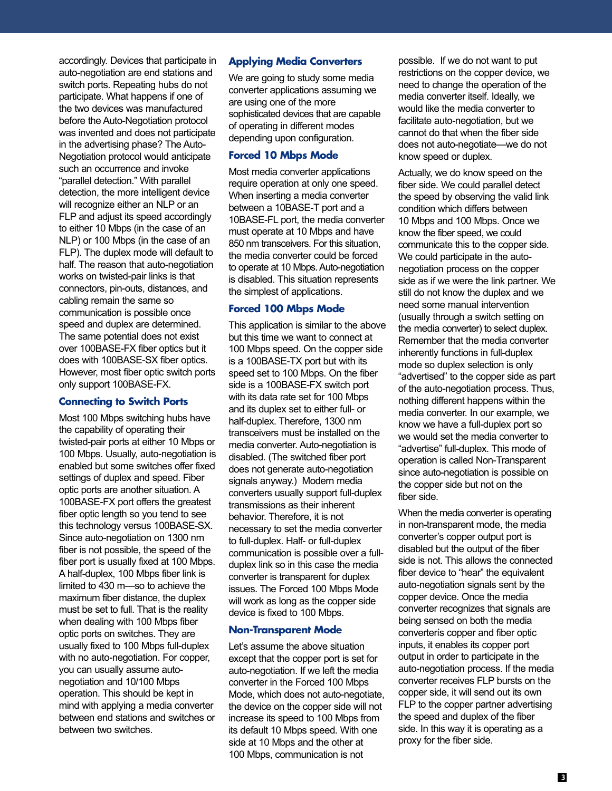accordingly. Devices that participate in auto-negotiation are end stations and switch ports. Repeating hubs do not participate. What happens if one of the two devices was manufactured before the Auto-Negotiation protocol was invented and does not participate in the advertising phase? The Auto-Negotiation protocol would anticipate such an occurrence and invoke "parallel detection." With parallel detection, the more intelligent device will recognize either an NLP or an FLP and adjust its speed accordingly to either 10 Mbps (in the case of an NLP) or 100 Mbps (in the case of an FLP). The duplex mode will default to half. The reason that auto-negotiation works on twisted-pair links is that connectors, pin-outs, distances, and cabling remain the same so communication is possible once speed and duplex are determined. The same potential does not exist over 100BASE-FX fiber optics but it does with 100BASE-SX fiber optics. However, most fiber optic switch ports only support 100BASE-FX.

#### **Connecting to Switch Ports**

Most 100 Mbps switching hubs have the capability of operating their twisted-pair ports at either 10 Mbps or 100 Mbps. Usually, auto-negotiation is enabled but some switches offer fixed settings of duplex and speed. Fiber optic ports are another situation. A 100BASE-FX port offers the greatest fiber optic length so you tend to see this technology versus 100BASE-SX. Since auto-negotiation on 1300 nm fiber is not possible, the speed of the fiber port is usually fixed at 100 Mbps. A half-duplex, 100 Mbps fiber link is limited to 430 m—so to achieve the maximum fiber distance, the duplex must be set to full. That is the reality when dealing with 100 Mbps fiber optic ports on switches. They are usually fixed to 100 Mbps full-duplex with no auto-negotiation. For copper, you can usually assume autonegotiation and 10/100 Mbps operation. This should be kept in mind with applying a media converter between end stations and switches or between two switches.

#### **Applying Media Converters**

We are going to study some media converter applications assuming we are using one of the more sophisticated devices that are capable of operating in different modes depending upon configuration.

### **Forced 10 Mbps Mode**

Most media converter applications require operation at only one speed. When inserting a media converter between a 10BASE-T port and a 10BASE-FL port, the media converter must operate at 10 Mbps and have 850 nm transceivers. For this situation, the media converter could be forced to operate at 10 Mbps. Auto-negotiation is disabled. This situation represents the simplest of applications.

# **Forced 100 Mbps Mode**

This application is similar to the above but this time we want to connect at 100 Mbps speed. On the copper side is a 100BASE-TX port but with its speed set to 100 Mbps. On the fiber side is a 100BASE-FX switch port with its data rate set for 100 Mbps and its duplex set to either full- or half-duplex. Therefore, 1300 nm transceivers must be installed on the media converter. Auto-negotiation is disabled. (The switched fiber port does not generate auto-negotiation signals anyway.) Modern media converters usually support full-duplex transmissions as their inherent behavior. Therefore, it is not necessary to set the media converter to full-duplex. Half- or full-duplex communication is possible over a fullduplex link so in this case the media converter is transparent for duplex issues. The Forced 100 Mbps Mode will work as long as the copper side device is fixed to 100 Mbps.

# **Non-Transparent Mode**

Let's assume the above situation except that the copper port is set for auto-negotiation. If we left the media converter in the Forced 100 Mbps Mode, which does not auto-negotiate, the device on the copper side will not increase its speed to 100 Mbps from its default 10 Mbps speed. With one side at 10 Mbps and the other at 100 Mbps, communication is not

possible. If we do not want to put restrictions on the copper device, we need to change the operation of the media converter itself. Ideally, we would like the media converter to facilitate auto-negotiation, but we cannot do that when the fiber side does not auto-negotiate—we do not know speed or duplex.

Actually, we do know speed on the fiber side. We could parallel detect the speed by observing the valid link condition which differs between 10 Mbps and 100 Mbps. Once we know the fiber speed, we could communicate this to the copper side. We could participate in the autonegotiation process on the copper side as if we were the link partner. We still do not know the duplex and we need some manual intervention (usually through a switch setting on the media converter) to select duplex. Remember that the media converter inherently functions in full-duplex mode so duplex selection is only "advertised" to the copper side as part of the auto-negotiation process. Thus, nothing different happens within the media converter. In our example, we know we have a full-duplex port so we would set the media converter to "advertise" full-duplex. This mode of operation is called Non-Transparent since auto-negotiation is possible on the copper side but not on the fiber side.

When the media converter is operating in non-transparent mode, the media converter's copper output port is disabled but the output of the fiber side is not. This allows the connected fiber device to "hear" the equivalent auto-negotiation signals sent by the copper device. Once the media converter recognizes that signals are being sensed on both the media converterís copper and fiber optic inputs, it enables its copper port output in order to participate in the auto-negotiation process. If the media converter receives FLP bursts on the copper side, it will send out its own FLP to the copper partner advertising the speed and duplex of the fiber side. In this way it is operating as a proxy for the fiber side.